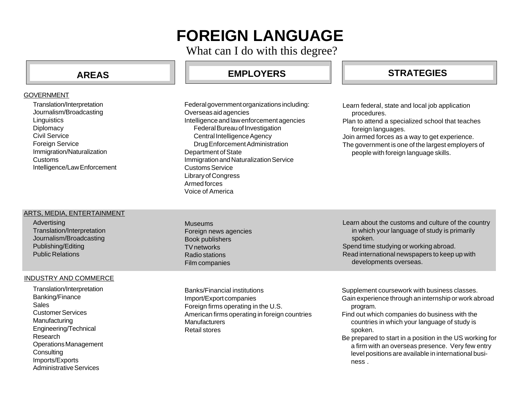# **FOREIGN LANGUAGE**

What can I do with this degree?

# **AREAS**

### GOVERNMENT

Translation/Interpretation Journalism/Broadcasting **Linguistics Diplomacy** Civil Service **Foreign Service** Immigration/Naturalization Customs Intelligence/Law Enforcement

## ARTS, MEDIA, ENTERTAINMENT

Advertising Translation/Interpretation Journalism/Broadcasting Publishing/Editing Public Relations

### INDUSTRY AND COMMERCE

Translation/Interpretation Banking/Finance Sales Customer Services Manufacturing Engineering/Technical Research Operations Management **Consulting** Imports/Exports Administrative Services

Federal government organizations including: Overseas aid agencies Intelligence and law enforcement agencies Federal Bureau of Investigation Central Intelligence Agency Drug Enforcement Administration Department of State Immigration and Naturalization Service Customs Service Library of Congress Armed forces Voice of America

# **EMPLOYERS STRATEGIES**

- Learn federal, state and local job application procedures.
- Plan to attend a specialized school that teaches foreign languages.
- Join armed forces as a way to get experience.
- The government is one of the largest employers of people with foreign language skills.

Museums Foreign news agencies Book publishers TV networks Radio stations Film companies

Banks/Financial institutions Import/Export companies Foreign firms operating in the U.S. American firms operating in foreign countries **Manufacturers** Retail stores

Learn about the customs and culture of the country in which your language of study is primarily spoken. Spend time studying or working abroad.

Read international newspapers to keep up with developments overseas.

Supplement coursework with business classes. Gain experience through an internship or work abroad program.

- Find out which companies do business with the countries in which your language of study is spoken.
- Be prepared to start in a position in the US working for a firm with an overseas presence. Very few entry level positions are available in international business .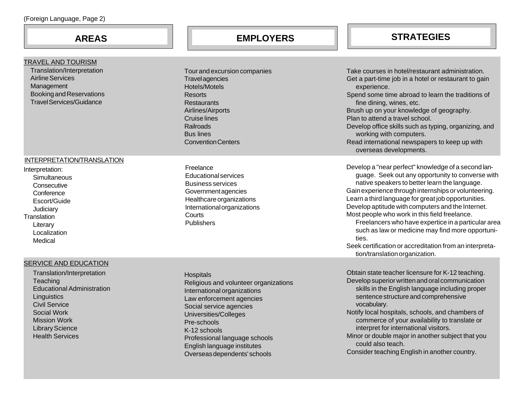|  | (Foreign Language, Page 2) |  |  |
|--|----------------------------|--|--|
|--|----------------------------|--|--|

**AREAS**

# **EMPLOYERS STRATEGIES**

| <b>TRAVEL AND TOURISM</b><br>Translation/Interpretation<br><b>Airline Services</b><br>Management<br><b>Booking and Reservations</b><br><b>Travel Services/Guidance</b>                                                                | Tour and excursion companies<br>Travelagencies<br>Hotels/Motels<br><b>Resorts</b><br>Restaurants<br>Airlines/Airports<br><b>Cruise lines</b><br>Railroads                                                                                                                                               | Take courses in hotel/restaurant administration.<br>Get a part-time job in a hotel or restaurant to gain<br>experience.<br>Spend some time abroad to learn the traditions of<br>fine dining, wines, etc.<br>Brush up on your knowledge of geography.<br>Plan to attend a travel school.<br>Develop office skills such as typing, organizing, and                                                                                                                                                                                                                                               |
|---------------------------------------------------------------------------------------------------------------------------------------------------------------------------------------------------------------------------------------|---------------------------------------------------------------------------------------------------------------------------------------------------------------------------------------------------------------------------------------------------------------------------------------------------------|------------------------------------------------------------------------------------------------------------------------------------------------------------------------------------------------------------------------------------------------------------------------------------------------------------------------------------------------------------------------------------------------------------------------------------------------------------------------------------------------------------------------------------------------------------------------------------------------|
|                                                                                                                                                                                                                                       | <b>Bus lines</b><br><b>Convention Centers</b>                                                                                                                                                                                                                                                           | working with computers.<br>Read international newspapers to keep up with<br>overseas developments.                                                                                                                                                                                                                                                                                                                                                                                                                                                                                             |
| INTERPRETATION/TRANSLATION<br>Interpretation:<br>Simultaneous<br>Consecutive<br>Conference<br>Escort/Guide<br>Judiciary<br>Translation<br>Literary<br>Localization<br>Medical                                                         | Freelance<br>Educational services<br><b>Business services</b><br>Government agencies<br>Healthcare organizations<br>International organizations<br>Courts<br>Publishers                                                                                                                                 | Develop a "near perfect" knowledge of a second lan-<br>guage. Seek out any opportunity to converse with<br>native speakers to better learn the language.<br>Gain experience through internships or volunteering.<br>Learn a third language for great job opportunities.<br>Develop aptitude with computers and the Internet.<br>Most people who work in this field freelance.<br>Freelancers who have expertice in a particular area<br>such as law or medicine may find more opportuni-<br>ties.<br>Seek certification or accreditation from an interpreta-<br>tion/translation organization. |
| SERVICE AND EDUCATION<br>Translation/Interpretation<br>Teaching<br><b>Educational Administration</b><br>Linguistics<br><b>Civil Service</b><br>Social Work<br><b>Mission Work</b><br><b>Library Science</b><br><b>Health Services</b> | <b>Hospitals</b><br>Religious and volunteer organizations<br>International organizations<br>Law enforcement agencies<br>Social service agencies<br>Universities/Colleges<br>Pre-schools<br>K-12 schools<br>Professional language schools<br>English language institutes<br>Overseas dependents' schools | Obtain state teacher licensure for K-12 teaching.<br>Develop superior written and oral communication<br>skills in the English language including proper<br>sentence structure and comprehensive<br>vocabulary.<br>Notify local hospitals, schools, and chambers of<br>commerce of your availability to translate or<br>interpret for international visitors.<br>Minor or double major in another subject that you<br>could also teach.<br>Consider teaching English in another country.                                                                                                        |